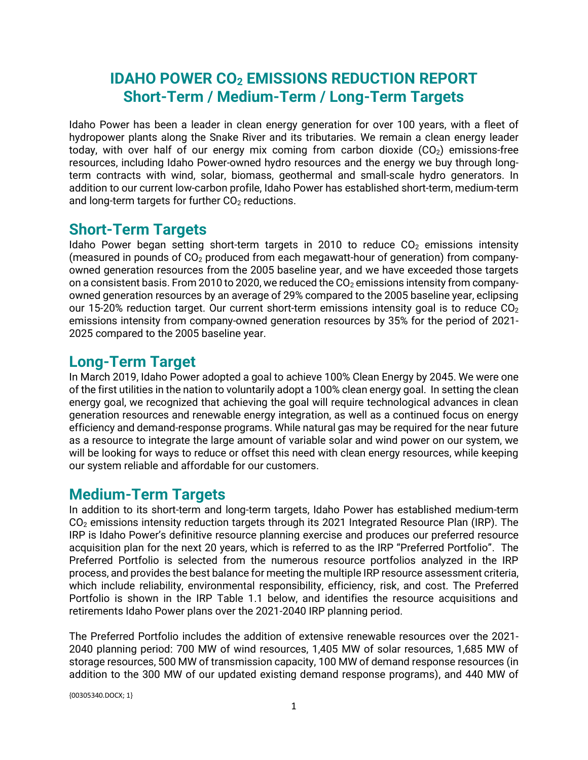# **IDAHO POWER CO<sup>2</sup> EMISSIONS REDUCTION REPORT Short-Term / Medium-Term / Long-Term Targets**

Idaho Power has been a leader in clean energy generation for over 100 years, with a fleet of hydropower plants along the Snake River and its tributaries. We remain a clean energy leader today, with over half of our energy mix coming from carbon dioxide  $(CO<sub>2</sub>)$  emissions-free resources, including Idaho Power-owned hydro resources and the energy we buy through longterm contracts with wind, solar, biomass, geothermal and small-scale hydro generators. In addition to our current low-carbon profile, Idaho Power has established short-term, medium-term and long-term targets for further  $CO<sub>2</sub>$  reductions.

## **Short-Term Targets**

Idaho Power began setting short-term targets in 2010 to reduce  $CO<sub>2</sub>$  emissions intensity (measured in pounds of  $CO<sub>2</sub>$  produced from each megawatt-hour of generation) from companyowned generation resources from the 2005 baseline year, and we have exceeded those targets on a consistent basis. From 2010 to 2020, we reduced the  $CO<sub>2</sub>$  emissions intensity from companyowned generation resources by an average of 29% compared to the 2005 baseline year, eclipsing our 15-20% reduction target. Our current short-term emissions intensity goal is to reduce  $CO<sub>2</sub>$ emissions intensity from company-owned generation resources by 35% for the period of 2021- 2025 compared to the 2005 baseline year.

## **Long-Term Target**

In March 2019, Idaho Power adopted a goal to achieve 100% Clean Energy by 2045. We were one of the first utilities in the nation to voluntarily adopt a 100% clean energy goal. In setting the clean energy goal, we recognized that achieving the goal will require technological advances in clean generation resources and renewable energy integration, as well as a continued focus on energy efficiency and demand-response programs. While natural gas may be required for the near future as a resource to integrate the large amount of variable solar and wind power on our system, we will be looking for ways to reduce or offset this need with clean energy resources, while keeping our system [reliable](https://www.idahopower.com/outages-safety/outages/providing-reliable-service/) and affordable for our customers.

## **Medium-Term Targets**

In addition to its short-term and long-term targets, Idaho Power has established medium-term CO<sub>2</sub> emissions intensity reduction targets through its 2021 Integrated Resource Plan (IRP). The IRP is Idaho Power's definitive resource planning exercise and produces our preferred resource acquisition plan for the next 20 years, which is referred to as the IRP "Preferred Portfolio". The Preferred Portfolio is selected from the numerous resource portfolios analyzed in the IRP process, and provides the best balance for meeting the multiple IRP resource assessment criteria, which include reliability, environmental responsibility, efficiency, risk, and cost. The Preferred Portfolio is shown in the IRP Table 1.1 below, and identifies the resource acquisitions and retirements Idaho Power plans over the 2021-2040 IRP planning period.

The Preferred Portfolio includes the addition of extensive renewable resources over the 2021- 2040 planning period: 700 MW of wind resources, 1,405 MW of solar resources, 1,685 MW of storage resources, 500 MW of transmission capacity, 100 MW of demand response resources (in addition to the 300 MW of our updated existing demand response programs), and 440 MW of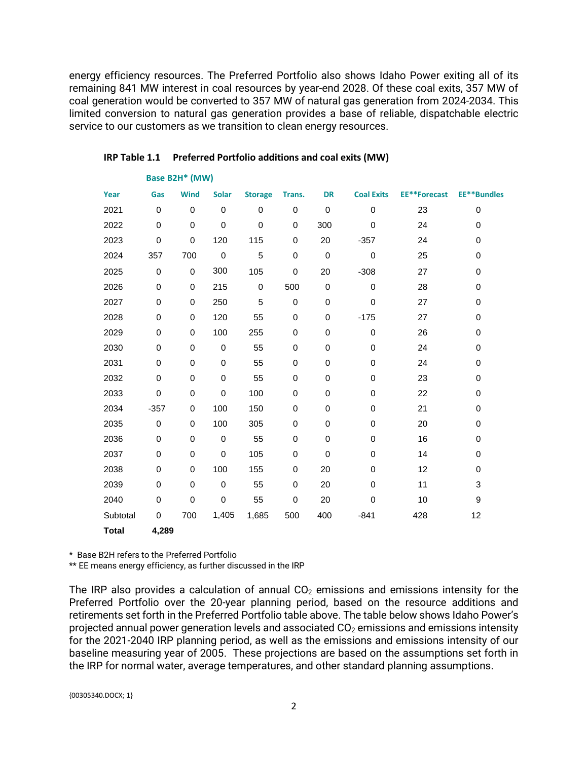energy efficiency resources. The Preferred Portfolio also shows Idaho Power exiting all of its remaining 841 MW interest in coal resources by year-end 2028. Of these coal exits, 357 MW of coal generation would be converted to 357 MW of natural gas generation from 2024-2034. This limited conversion to natural gas generation provides a base of reliable, dispatchable electric service to our customers as we transition to clean energy resources.

| Year         | Gas         | <b>Wind</b> | <b>Solar</b> | <b>Storage</b> | Trans.    | <b>DR</b>   | <b>Coal Exits</b> | <b>EE**Forecast</b> | <b>EE**Bundles</b> |
|--------------|-------------|-------------|--------------|----------------|-----------|-------------|-------------------|---------------------|--------------------|
| 2021         | $\mathbf 0$ | 0           | $\mathbf 0$  | 0              | 0         | $\mathbf 0$ | 0                 | 23                  | 0                  |
| 2022         | $\mathbf 0$ | 0           | $\mathbf 0$  | $\mathbf 0$    | $\pmb{0}$ | 300         | 0                 | 24                  | 0                  |
| 2023         | $\,0\,$     | 0           | 120          | 115            | 0         | 20          | $-357$            | 24                  | 0                  |
| 2024         | 357         | 700         | $\mathbf 0$  | 5              | $\pmb{0}$ | $\pmb{0}$   | $\pmb{0}$         | 25                  | 0                  |
| 2025         | $\mathbf 0$ | $\mathbf 0$ | 300          | 105            | $\pmb{0}$ | 20          | $-308$            | 27                  | 0                  |
| 2026         | 0           | 0           | 215          | 0              | 500       | $\pmb{0}$   | 0                 | 28                  | 0                  |
| 2027         | 0           | 0           | 250          | 5              | $\pmb{0}$ | 0           | 0                 | 27                  | 0                  |
| 2028         | $\mathbf 0$ | 0           | 120          | 55             | $\pmb{0}$ | 0           | $-175$            | 27                  | 0                  |
| 2029         | 0           | 0           | 100          | 255            | 0         | 0           | $\mathbf 0$       | 26                  | 0                  |
| 2030         | $\mathbf 0$ | 0           | $\mathbf 0$  | 55             | 0         | 0           | 0                 | 24                  | 0                  |
| 2031         | 0           | 0           | 0            | 55             | 0         | 0           | 0                 | 24                  | 0                  |
| 2032         | 0           | 0           | 0            | 55             | 0         | 0           | 0                 | 23                  | 0                  |
| 2033         | $\mathbf 0$ | 0           | $\mathbf 0$  | 100            | $\pmb{0}$ | 0           | $\mathbf 0$       | 22                  | 0                  |
| 2034         | $-357$      | 0           | 100          | 150            | 0         | 0           | 0                 | 21                  | 0                  |
| 2035         | $\mathbf 0$ | 0           | 100          | 305            | 0         | 0           | 0                 | 20                  | 0                  |
| 2036         | 0           | 0           | 0            | 55             | 0         | 0           | 0                 | 16                  | 0                  |
| 2037         | $\mathbf 0$ | 0           | $\mathbf 0$  | 105            | 0         | $\mathbf 0$ | 0                 | 14                  | 0                  |
| 2038         | $\mathbf 0$ | 0           | 100          | 155            | 0         | 20          | 0                 | 12                  | 0                  |
| 2039         | $\mathbf 0$ | 0           | $\mathsf 0$  | 55             | $\,0\,$   | 20          | 0                 | 11                  | 3                  |
| 2040         | 0           | 0           | $\mathsf 0$  | 55             | 0         | 20          | 0                 | 10                  | 9                  |
| Subtotal     | 0           | 700         | 1,405        | 1,685          | 500       | 400         | $-841$            | 428                 | 12                 |
| <b>Total</b> | 4,289       |             |              |                |           |             |                   |                     |                    |

#### **IRP Table 1.1 Preferred Portfolio additions and coal exits (MW)**

**Base B2H\* (MW)**

\* Base B2H refers to the Preferred Portfolio

\*\* EE means energy efficiency, as further discussed in the IRP

The IRP also provides a calculation of annual  $CO<sub>2</sub>$  emissions and emissions intensity for the Preferred Portfolio over the 20-year planning period, based on the resource additions and retirements set forth in the Preferred Portfolio table above. The table below shows Idaho Power's projected annual power generation levels and associated  $CO<sub>2</sub>$  emissions and emissions intensity for the 2021-2040 IRP planning period, as well as the emissions and emissions intensity of our baseline measuring year of 2005. These projections are based on the assumptions set forth in the IRP for normal water, average temperatures, and other standard planning assumptions.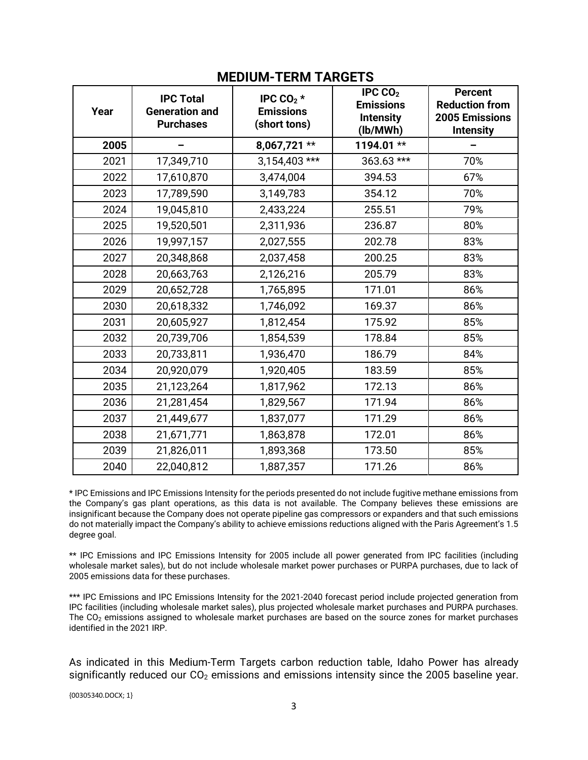| Year | <b>IPC Total</b><br><b>Generation and</b><br><b>Purchases</b> | IPC CO <sub>2</sub> $*$<br><b>Emissions</b><br>(short tons) | IPC $CO2$<br><b>Emissions</b><br><b>Intensity</b><br>(lb/MWh) | <b>Percent</b><br><b>Reduction from</b><br>2005 Emissions<br><b>Intensity</b> |  |  |  |  |  |  |
|------|---------------------------------------------------------------|-------------------------------------------------------------|---------------------------------------------------------------|-------------------------------------------------------------------------------|--|--|--|--|--|--|
| 2005 |                                                               | 8,067,721 **                                                | 1194.01 **                                                    |                                                                               |  |  |  |  |  |  |
| 2021 | 17,349,710                                                    | 3,154,403 ***                                               | 363.63 ***                                                    | 70%                                                                           |  |  |  |  |  |  |
| 2022 | 17,610,870                                                    | 3,474,004                                                   | 394.53                                                        | 67%                                                                           |  |  |  |  |  |  |
| 2023 | 17,789,590                                                    | 3,149,783                                                   | 354.12                                                        | 70%                                                                           |  |  |  |  |  |  |
| 2024 | 19,045,810                                                    | 2,433,224                                                   | 255.51                                                        | 79%                                                                           |  |  |  |  |  |  |
| 2025 | 19,520,501                                                    | 2,311,936                                                   | 236.87                                                        | 80%                                                                           |  |  |  |  |  |  |
| 2026 | 19,997,157                                                    | 2,027,555                                                   | 202.78                                                        | 83%                                                                           |  |  |  |  |  |  |
| 2027 | 20,348,868                                                    | 2,037,458                                                   | 200.25                                                        | 83%                                                                           |  |  |  |  |  |  |
| 2028 | 20,663,763                                                    | 2,126,216                                                   | 205.79                                                        | 83%                                                                           |  |  |  |  |  |  |
| 2029 | 20,652,728                                                    | 1,765,895                                                   | 171.01                                                        | 86%                                                                           |  |  |  |  |  |  |
| 2030 | 20,618,332                                                    | 1,746,092                                                   | 169.37                                                        | 86%                                                                           |  |  |  |  |  |  |
| 2031 | 20,605,927                                                    | 1,812,454                                                   | 175.92                                                        | 85%                                                                           |  |  |  |  |  |  |
| 2032 | 20,739,706                                                    | 1,854,539                                                   | 178.84                                                        | 85%                                                                           |  |  |  |  |  |  |
| 2033 | 20,733,811                                                    | 1,936,470                                                   | 186.79                                                        | 84%                                                                           |  |  |  |  |  |  |
| 2034 | 20,920,079                                                    | 1,920,405                                                   | 183.59                                                        | 85%                                                                           |  |  |  |  |  |  |
| 2035 | 21,123,264                                                    | 1,817,962                                                   | 172.13                                                        | 86%                                                                           |  |  |  |  |  |  |
| 2036 | 21,281,454                                                    | 1,829,567                                                   | 171.94                                                        | 86%                                                                           |  |  |  |  |  |  |
| 2037 | 21,449,677                                                    | 1,837,077                                                   | 171.29                                                        | 86%                                                                           |  |  |  |  |  |  |
| 2038 | 21,671,771                                                    | 1,863,878                                                   | 172.01                                                        | 86%                                                                           |  |  |  |  |  |  |
| 2039 | 21,826,011                                                    | 1,893,368                                                   | 173.50                                                        | 85%                                                                           |  |  |  |  |  |  |
| 2040 | 22,040,812                                                    | 1,887,357                                                   | 171.26                                                        | 86%                                                                           |  |  |  |  |  |  |

### **MEDIUM-TERM TARGETS**

\* IPC Emissions and IPC Emissions Intensity for the periods presented do not include fugitive methane emissions from the Company's gas plant operations, as this data is not available. The Company believes these emissions are insignificant because the Company does not operate pipeline gas compressors or expanders and that such emissions do not materially impact the Company's ability to achieve emissions reductions aligned with the Paris Agreement's 1.5 degree goal.

\*\* IPC Emissions and IPC Emissions Intensity for 2005 include all power generated from IPC facilities (including wholesale market sales), but do not include wholesale market power purchases or PURPA purchases, due to lack of 2005 emissions data for these purchases.

\*\*\* IPC Emissions and IPC Emissions Intensity for the 2021-2040 forecast period include projected generation from IPC facilities (including wholesale market sales), plus projected wholesale market purchases and PURPA purchases. The CO<sub>2</sub> emissions assigned to wholesale market purchases are based on the source zones for market purchases identified in the 2021 IRP.

As indicated in this Medium-Term Targets carbon reduction table, Idaho Power has already significantly reduced our CO<sub>2</sub> emissions and emissions intensity since the 2005 baseline year.

{00305340.DOCX; 1}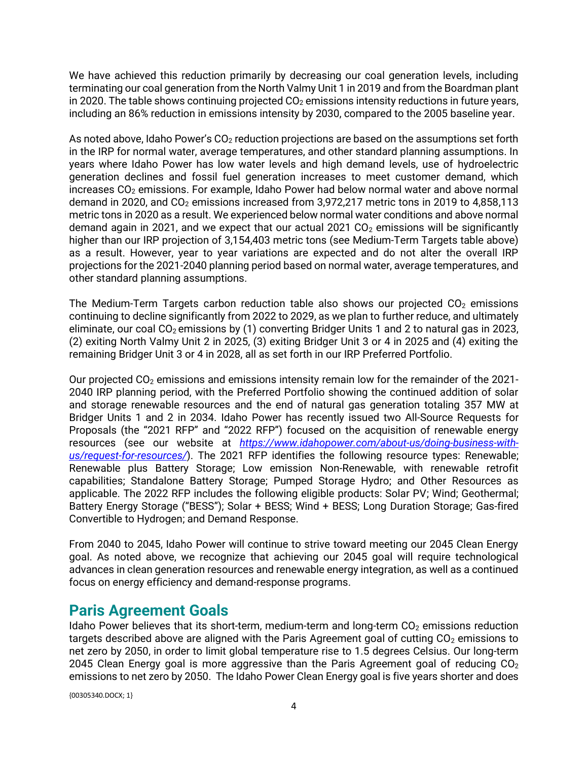We have achieved this reduction primarily by decreasing our coal generation levels, including terminating our coal generation from the North Valmy Unit 1 in 2019 and from the Boardman plant in 2020. The table shows continuing projected  $CO<sub>2</sub>$  emissions intensity reductions in future years, including an 86% reduction in emissions intensity by 2030, compared to the 2005 baseline year.

As noted above, Idaho Power's  $CO<sub>2</sub>$  reduction projections are based on the assumptions set forth in the IRP for normal water, average temperatures, and other standard planning assumptions. In years where Idaho Power has low water levels and high demand levels, use of hydroelectric generation declines and fossil fuel generation increases to meet customer demand, which increases CO<sub>2</sub> emissions. For example, Idaho Power had below normal water and above normal demand in 2020, and  $CO<sub>2</sub>$  emissions increased from 3,972,217 metric tons in 2019 to 4,858,113 metric tons in 2020 as a result. We experienced below normal water conditions and above normal demand again in 2021, and we expect that our actual 2021  $CO<sub>2</sub>$  emissions will be significantly higher than our IRP projection of 3,154,403 metric tons (see Medium-Term Targets table above) as a result. However, year to year variations are expected and do not alter the overall IRP projections for the 2021-2040 planning period based on normal water, average temperatures, and other standard planning assumptions.

The Medium-Term Targets carbon reduction table also shows our projected  $CO<sub>2</sub>$  emissions continuing to decline significantly from 2022 to 2029, as we plan to further reduce, and ultimately eliminate, our coal  $CO<sub>2</sub>$  emissions by (1) converting Bridger Units 1 and 2 to natural gas in 2023, (2) exiting North Valmy Unit 2 in 2025, (3) exiting Bridger Unit 3 or 4 in 2025 and (4) exiting the remaining Bridger Unit 3 or 4 in 2028, all as set forth in our IRP Preferred Portfolio.

Our projected  $CO<sub>2</sub>$  emissions and emissions intensity remain low for the remainder of the 2021-2040 IRP planning period, with the Preferred Portfolio showing the continued addition of solar and storage renewable resources and the end of natural gas generation totaling 357 MW at Bridger Units 1 and 2 in 2034. Idaho Power has recently issued two All-Source Requests for Proposals (the "2021 RFP" and "2022 RFP") focused on the acquisition of renewable energy resources (see our website at *[https://www.idahopower.com/about-us/doing-business-with](https://www.idahopower.com/about-us/doing-business-with-us/request-for-resources/)[us/request-for-resources/](https://www.idahopower.com/about-us/doing-business-with-us/request-for-resources/)*). The 2021 RFP identifies the following resource types: Renewable; Renewable plus Battery Storage; Low emission Non-Renewable, with renewable retrofit capabilities; Standalone Battery Storage; Pumped Storage Hydro; and Other Resources as applicable. The 2022 RFP includes the following eligible products: Solar PV; Wind; Geothermal; Battery Energy Storage ("BESS"); Solar + BESS; Wind + BESS; Long Duration Storage; Gas-fired Convertible to Hydrogen; and Demand Response.

From 2040 to 2045, Idaho Power will continue to strive toward meeting our 2045 Clean Energy goal. As noted above, we recognize that achieving our 2045 goal will require technological advances in clean generation resources and renewable energy integration, as well as a continued focus on energy efficiency and demand-response programs.

## **Paris Agreement Goals**

Idaho Power believes that its short-term, medium-term and long-term  $CO<sub>2</sub>$  emissions reduction targets described above are aligned with the Paris Agreement goal of cutting  $CO<sub>2</sub>$  emissions to net zero by 2050, in order to limit global temperature rise to 1.5 degrees Celsius. Our long-term 2045 Clean Energy goal is more aggressive than the Paris Agreement goal of reducing  $CO<sub>2</sub>$ emissions to net zero by 2050. The Idaho Power Clean Energy goal is five years shorter and does

{00305340.DOCX; 1}